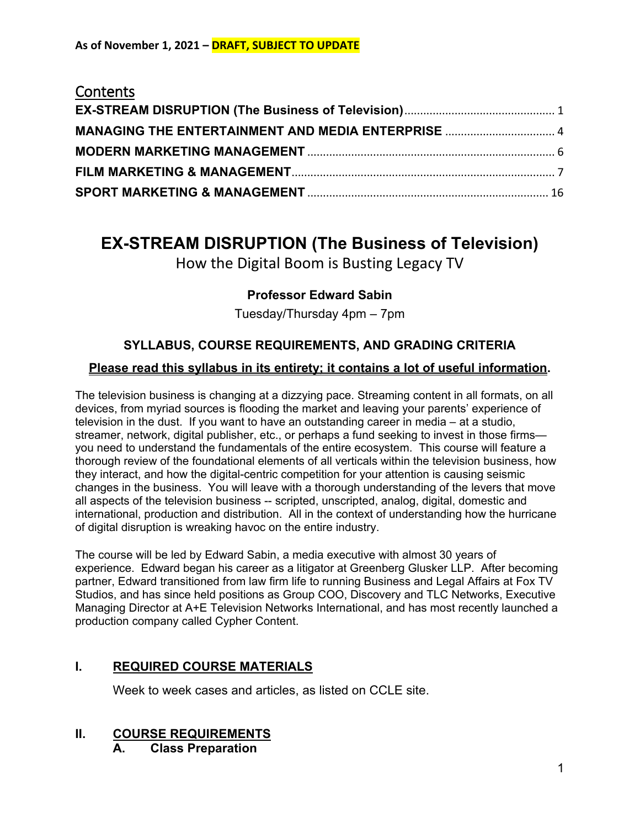## **Contents**

| MANAGING THE ENTERTAINMENT AND MEDIA ENTERPRISE  4 |  |
|----------------------------------------------------|--|
|                                                    |  |
|                                                    |  |
|                                                    |  |

# <span id="page-0-0"></span>**EX-STREAM DISRUPTION (The Business of Television)**

How the Digital Boom is Busting Legacy TV

## **Professor Edward Sabin**

Tuesday/Thursday 4pm – 7pm

## **SYLLABUS, COURSE REQUIREMENTS, AND GRADING CRITERIA**

## **Please read this syllabus in its entirety; it contains a lot of useful information.**

The television business is changing at a dizzying pace. Streaming content in all formats, on all devices, from myriad sources is flooding the market and leaving your parents' experience of television in the dust. If you want to have an outstanding career in media – at a studio, streamer, network, digital publisher, etc., or perhaps a fund seeking to invest in those firms you need to understand the fundamentals of the entire ecosystem. This course will feature a thorough review of the foundational elements of all verticals within the television business, how they interact, and how the digital-centric competition for your attention is causing seismic changes in the business. You will leave with a thorough understanding of the levers that move all aspects of the television business -- scripted, unscripted, analog, digital, domestic and international, production and distribution. All in the context of understanding how the hurricane of digital disruption is wreaking havoc on the entire industry.

The course will be led by Edward Sabin, a media executive with almost 30 years of experience. Edward began his career as a litigator at Greenberg Glusker LLP. After becoming partner, Edward transitioned from law firm life to running Business and Legal Affairs at Fox TV Studios, and has since held positions as Group COO, Discovery and TLC Networks, Executive Managing Director at A+E Television Networks International, and has most recently launched a production company called Cypher Content.

## **I. REQUIRED COURSE MATERIALS**

Week to week cases and articles, as listed on CCLE site.

# **II. COURSE REQUIREMENTS**

**A. Class Preparation**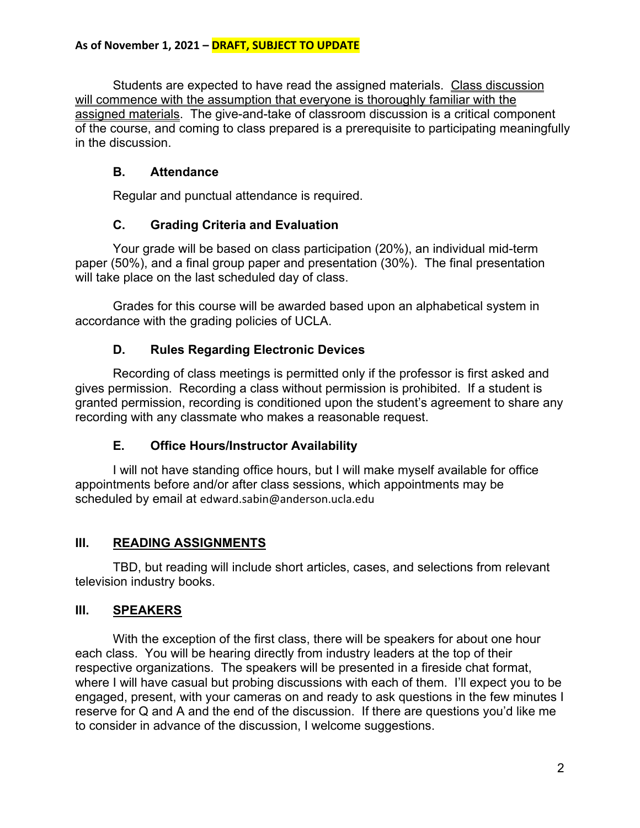Students are expected to have read the assigned materials. Class discussion will commence with the assumption that everyone is thoroughly familiar with the assigned materials. The give-and-take of classroom discussion is a critical component of the course, and coming to class prepared is a prerequisite to participating meaningfully in the discussion.

## **B. Attendance**

Regular and punctual attendance is required.

## **C. Grading Criteria and Evaluation**

Your grade will be based on class participation (20%), an individual mid-term paper (50%), and a final group paper and presentation (30%). The final presentation will take place on the last scheduled day of class.

Grades for this course will be awarded based upon an alphabetical system in accordance with the grading policies of UCLA.

## **D. Rules Regarding Electronic Devices**

Recording of class meetings is permitted only if the professor is first asked and gives permission. Recording a class without permission is prohibited. If a student is granted permission, recording is conditioned upon the student's agreement to share any recording with any classmate who makes a reasonable request.

## **E. Office Hours/Instructor Availability**

I will not have standing office hours, but I will make myself available for office appointments before and/or after class sessions, which appointments may be scheduled by email at edward.sabin@anderson.ucla.edu

## **III. READING ASSIGNMENTS**

TBD, but reading will include short articles, cases, and selections from relevant television industry books.

## **III. SPEAKERS**

With the exception of the first class, there will be speakers for about one hour each class. You will be hearing directly from industry leaders at the top of their respective organizations. The speakers will be presented in a fireside chat format, where I will have casual but probing discussions with each of them. I'll expect you to be engaged, present, with your cameras on and ready to ask questions in the few minutes I reserve for Q and A and the end of the discussion. If there are questions you'd like me to consider in advance of the discussion, I welcome suggestions.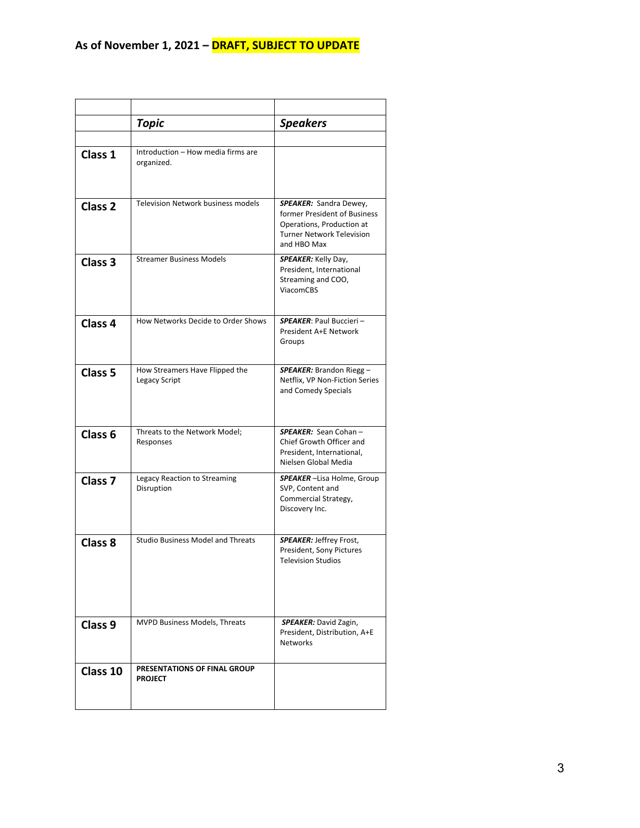|                    | Topic                                            | <b>Speakers</b>                                                                                                                        |
|--------------------|--------------------------------------------------|----------------------------------------------------------------------------------------------------------------------------------------|
|                    |                                                  |                                                                                                                                        |
| Class 1            | Introduction - How media firms are<br>organized. |                                                                                                                                        |
| Class <sub>2</sub> | <b>Television Network business models</b>        | SPEAKER: Sandra Dewey,<br>former President of Business<br>Operations, Production at<br><b>Turner Network Television</b><br>and HBO Max |
| Class <sub>3</sub> | <b>Streamer Business Models</b>                  | <b>SPEAKER:</b> Kelly Day,<br>President, International<br>Streaming and COO,<br><b>ViacomCBS</b>                                       |
| Class <sub>4</sub> | How Networks Decide to Order Shows               | <b>SPEAKER: Paul Buccieri -</b><br>President A+E Network<br>Groups                                                                     |
| Class <sub>5</sub> | How Streamers Have Flipped the<br>Legacy Script  | <b>SPEAKER:</b> Brandon Riegg -<br>Netflix, VP Non-Fiction Series<br>and Comedy Specials                                               |
| Class <sub>6</sub> | Threats to the Network Model;<br>Responses       | SPEAKER: Sean Cohan-<br>Chief Growth Officer and<br>President, International,<br>Nielsen Global Media                                  |
| Class <sub>7</sub> | Legacy Reaction to Streaming<br>Disruption       | <b>SPEAKER</b> -Lisa Holme, Group<br>SVP, Content and<br>Commercial Strategy,<br>Discovery Inc.                                        |
| Class 8            | <b>Studio Business Model and Threats</b>         | <b>SPEAKER: Jeffrey Frost,</b><br>President, Sony Pictures<br><b>Television Studios</b>                                                |
| Class <sub>9</sub> | MVPD Business Models, Threats                    | SPEAKER: David Zagin,<br>President, Distribution, A+E<br><b>Networks</b>                                                               |
| Class 10           | PRESENTATIONS OF FINAL GROUP<br><b>PROJECT</b>   |                                                                                                                                        |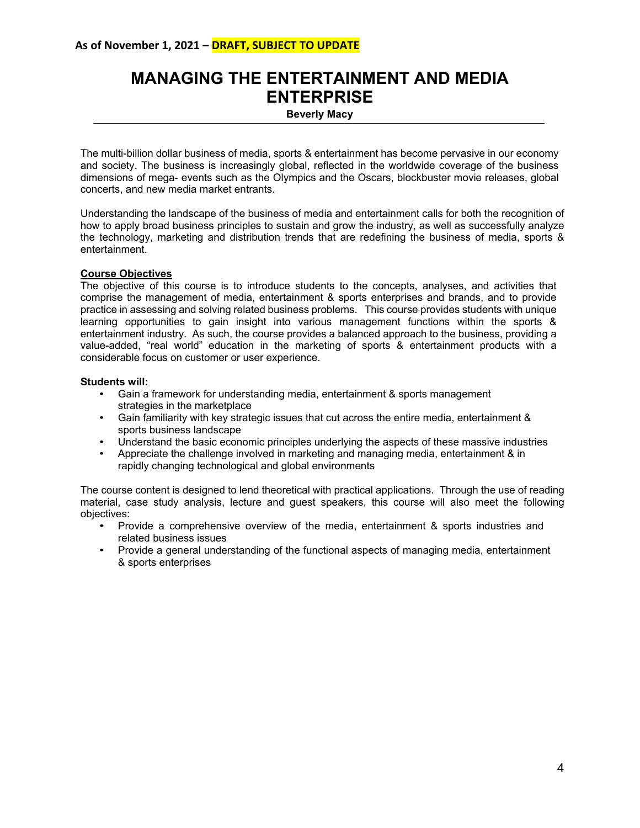## <span id="page-3-0"></span>**MANAGING THE ENTERTAINMENT AND MEDIA ENTERPRISE**

**Beverly Macy**

The multi-billion dollar business of media, sports & entertainment has become pervasive in our economy and society. The business is increasingly global, reflected in the worldwide coverage of the business dimensions of mega- events such as the Olympics and the Oscars, blockbuster movie releases, global concerts, and new media market entrants.

Understanding the landscape of the business of media and entertainment calls for both the recognition of how to apply broad business principles to sustain and grow the industry, as well as successfully analyze the technology, marketing and distribution trends that are redefining the business of media, sports & entertainment.

#### **Course Objectives**

The objective of this course is to introduce students to the concepts, analyses, and activities that comprise the management of media, entertainment & sports enterprises and brands, and to provide practice in assessing and solving related business problems. This course provides students with unique learning opportunities to gain insight into various management functions within the sports & entertainment industry. As such, the course provides a balanced approach to the business, providing a value-added, "real world" education in the marketing of sports & entertainment products with a considerable focus on customer or user experience.

#### **Students will:**

- Gain a framework for understanding media, entertainment & sports management strategies in the marketplace
- Gain familiarity with key strategic issues that cut across the entire media, entertainment & sports business landscape
- Understand the basic economic principles underlying the aspects of these massive industries
- Appreciate the challenge involved in marketing and managing media, entertainment & in rapidly changing technological and global environments

The course content is designed to lend theoretical with practical applications. Through the use of reading material, case study analysis, lecture and guest speakers, this course will also meet the following objectives:

- Provide a comprehensive overview of the media, entertainment & sports industries and related business issues
- Provide a general understanding of the functional aspects of managing media, entertainment & sports enterprises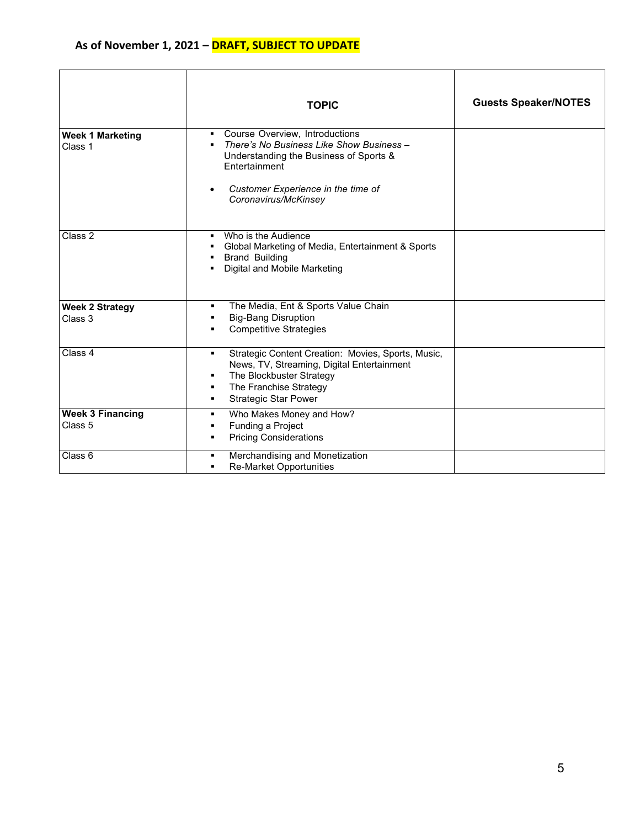|                                    | <b>TOPIC</b>                                                                                                                                                                                                                            | <b>Guests Speaker/NOTES</b> |
|------------------------------------|-----------------------------------------------------------------------------------------------------------------------------------------------------------------------------------------------------------------------------------------|-----------------------------|
| <b>Week 1 Marketing</b><br>Class 1 | Course Overview, Introductions<br>$\mathbf{E}^{\text{max}}$<br>There's No Business Like Show Business -<br>Understanding the Business of Sports &<br><b>Fntertainment</b><br>Customer Experience in the time of<br>Coronavirus/McKinsey |                             |
| Class 2                            | Who is the Audience<br>٠.<br>Global Marketing of Media, Entertainment & Sports<br><b>Brand Building</b><br>Digital and Mobile Marketing                                                                                                 |                             |
| <b>Week 2 Strategy</b><br>Class 3  | The Media, Ent & Sports Value Chain<br>٠<br><b>Big-Bang Disruption</b><br>٠<br><b>Competitive Strategies</b>                                                                                                                            |                             |
| Class 4                            | Strategic Content Creation: Movies, Sports, Music,<br>٠<br>News, TV, Streaming, Digital Entertainment<br>The Blockbuster Strategy<br>٠<br>The Franchise Strategy<br>٠<br><b>Strategic Star Power</b><br>٠                               |                             |
| <b>Week 3 Financing</b><br>Class 5 | Who Makes Money and How?<br>٠<br>Funding a Project<br>٠<br><b>Pricing Considerations</b><br>٠                                                                                                                                           |                             |
| Class 6                            | Merchandising and Monetization<br>٠<br><b>Re-Market Opportunities</b><br>٠                                                                                                                                                              |                             |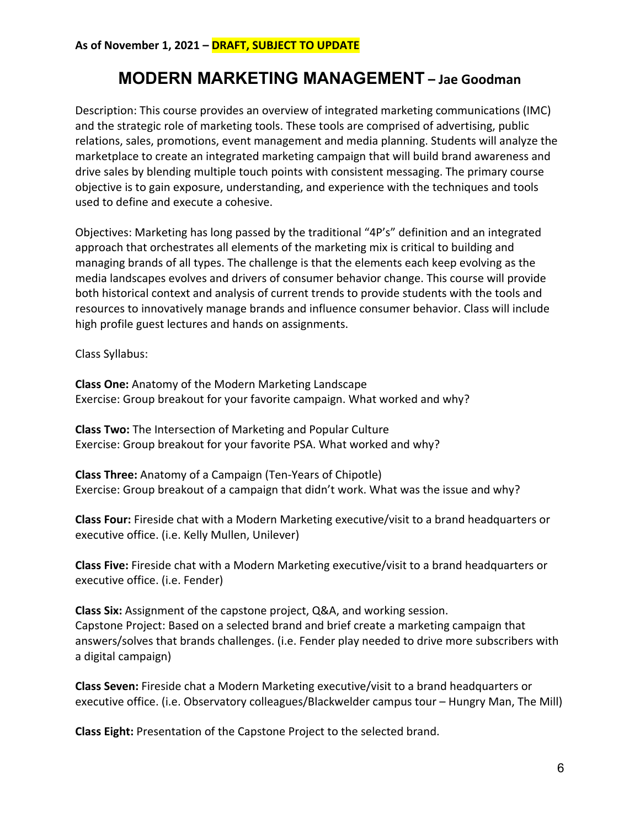# **MODERN MARKETING MANAGEMENT – Jae Goodman**

<span id="page-5-0"></span>Description: This course provides an overview of integrated marketing communications (IMC) and the strategic role of marketing tools. These tools are comprised of advertising, public relations, sales, promotions, event management and media planning. Students will analyze the marketplace to create an integrated marketing campaign that will build brand awareness and drive sales by blending multiple touch points with consistent messaging. The primary course objective is to gain exposure, understanding, and experience with the techniques and tools used to define and execute a cohesive.

Objectives: Marketing has long passed by the traditional "4P's" definition and an integrated approach that orchestrates all elements of the marketing mix is critical to building and managing brands of all types. The challenge is that the elements each keep evolving as the media landscapes evolves and drivers of consumer behavior change. This course will provide both historical context and analysis of current trends to provide students with the tools and resources to innovatively manage brands and influence consumer behavior. Class will include high profile guest lectures and hands on assignments.

Class Syllabus:

**Class One:** Anatomy of the Modern Marketing Landscape Exercise: Group breakout for your favorite campaign. What worked and why?

**Class Two:** The Intersection of Marketing and Popular Culture Exercise: Group breakout for your favorite PSA. What worked and why?

**Class Three:** Anatomy of a Campaign (Ten-Years of Chipotle) Exercise: Group breakout of a campaign that didn't work. What was the issue and why?

**Class Four:** Fireside chat with a Modern Marketing executive/visit to a brand headquarters or executive office. (i.e. Kelly Mullen, Unilever)

**Class Five:** Fireside chat with a Modern Marketing executive/visit to a brand headquarters or executive office. (i.e. Fender)

**Class Six:** Assignment of the capstone project, Q&A, and working session. Capstone Project: Based on a selected brand and brief create a marketing campaign that answers/solves that brands challenges. (i.e. Fender play needed to drive more subscribers with a digital campaign)

**Class Seven:** Fireside chat a Modern Marketing executive/visit to a brand headquarters or executive office. (i.e. Observatory colleagues/Blackwelder campus tour – Hungry Man, The Mill)

**Class Eight:** Presentation of the Capstone Project to the selected brand.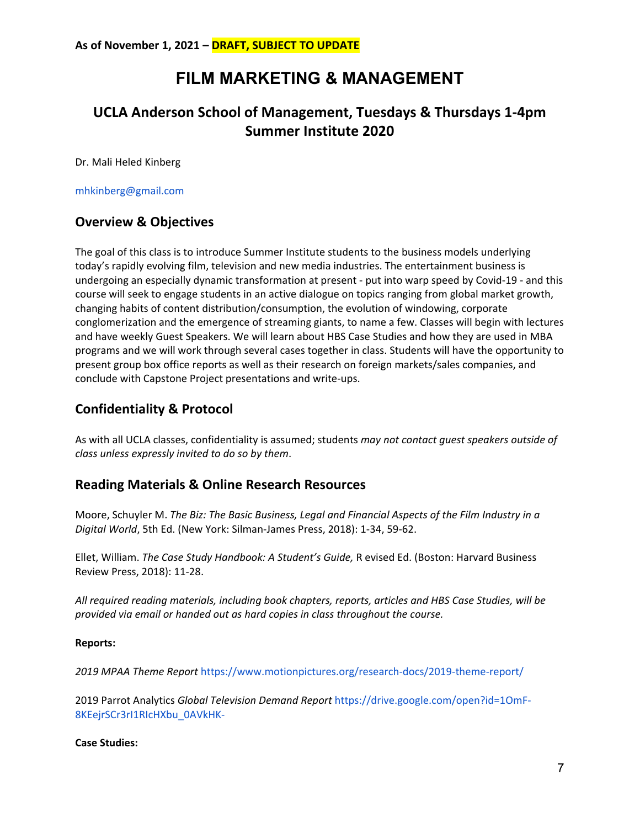# **FILM MARKETING & MANAGEMENT**

## <span id="page-6-0"></span>**UCLA Anderson School of Management, Tuesdays & Thursdays 1-4pm Summer Institute 2020**

Dr. Mali Heled Kinberg

mhkinberg@gmail.com

### **Overview & Objectives**

The goal of this class is to introduce Summer Institute students to the business models underlying today's rapidly evolving film, television and new media industries. The entertainment business is undergoing an especially dynamic transformation at present - put into warp speed by Covid-19 - and this course will seek to engage students in an active dialogue on topics ranging from global market growth, changing habits of content distribution/consumption, the evolution of windowing, corporate conglomerization and the emergence of streaming giants, to name a few. Classes will begin with lectures and have weekly Guest Speakers. We will learn about HBS Case Studies and how they are used in MBA programs and we will work through several cases together in class. Students will have the opportunity to present group box office reports as well as their research on foreign markets/sales companies, and conclude with Capstone Project presentations and write-ups.

### **Confidentiality & Protocol**

As with all UCLA classes, confidentiality is assumed; students *may not contact guest speakers outside of class unless expressly invited to do so by them*.

#### **Reading Materials & Online Research Resources**

Moore, Schuyler M. *The Biz: The Basic Business, Legal and Financial Aspects of the Film Industry in a Digital World*, 5th Ed. (New York: Silman-James Press, 2018): 1-34, 59-62.

Ellet, William. *The Case Study Handbook: A Student's Guide,* R evised Ed. (Boston: Harvard Business Review Press, 2018): 11-28.

*All required reading materials, including book chapters, reports, articles and HBS Case Studies, will be provided via email or handed out as hard copies in class throughout the course.* 

#### **Reports:**

*2019 MPAA Theme Report* https://www.motionpictures.org/research-docs/2019-theme-report/

2019 Parrot Analytics *Global Television Demand Report* https://drive.google.com/open?id=1OmF-8KEejrSCr3rI1RIcHXbu\_0AVkHK-

#### **Case Studies:**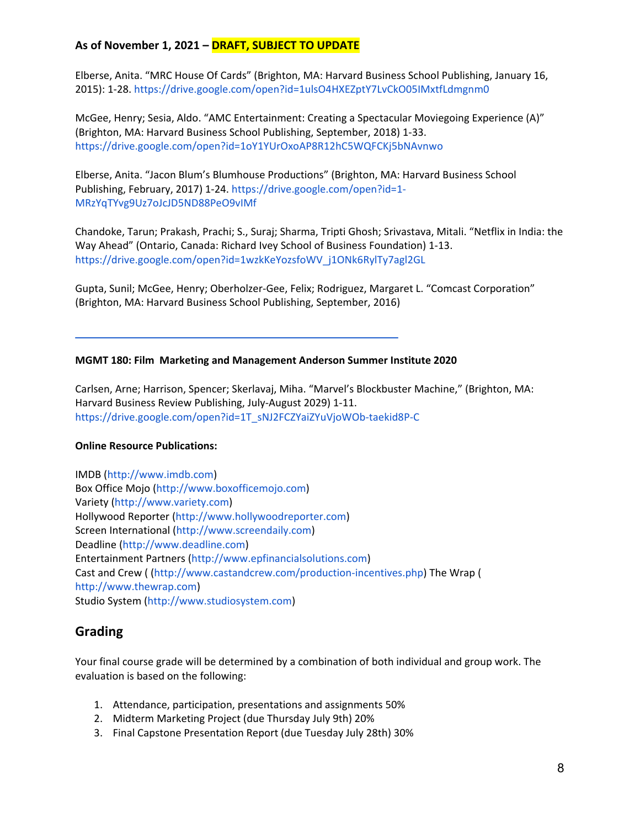Elberse, Anita. "MRC House Of Cards" (Brighton, MA: Harvard Business School Publishing, January 16, 2015): 1-28. https://drive.google.com/open?id=1ulsO4HXEZptY7LvCkO05IMxtfLdmgnm0

McGee, Henry; Sesia, Aldo. "AMC Entertainment: Creating a Spectacular Moviegoing Experience (A)" (Brighton, MA: Harvard Business School Publishing, September, 2018) 1-33. https://drive.google.com/open?id=1oY1YUrOxoAP8R12hC5WQFCKj5bNAvnwo

Elberse, Anita. "Jacon Blum's Blumhouse Productions" (Brighton, MA: Harvard Business School Publishing, February, 2017) 1-24. https://drive.google.com/open?id=1- MRzYqTYvg9Uz7oJcJD5ND88PeO9vIMf

Chandoke, Tarun; Prakash, Prachi; S., Suraj; Sharma, Tripti Ghosh; Srivastava, Mitali. "Netflix in India: the Way Ahead" (Ontario, Canada: Richard Ivey School of Business Foundation) 1-13. https://drive.google.com/open?id=1wzkKeYozsfoWV\_j1ONk6RylTy7agl2GL

Gupta, Sunil; McGee, Henry; Oberholzer-Gee, Felix; Rodriguez, Margaret L. "Comcast Corporation" (Brighton, MA: Harvard Business School Publishing, September, 2016)

#### **MGMT 180: Film Marketing and Management Anderson Summer Institute 2020**

Carlsen, Arne; Harrison, Spencer; Skerlavaj, Miha. "Marvel's Blockbuster Machine," (Brighton, MA: Harvard Business Review Publishing, July-August 2029) 1-11. https://drive.google.com/open?id=1T\_sNJ2FCZYaiZYuVjoWOb-taekid8P-C

#### **Online Resource Publications:**

IMDB (http://www.imdb.com) Box Office Mojo (http://www.boxofficemojo.com) Variety (http://www.variety.com) Hollywood Reporter (http://www.hollywoodreporter.com) Screen International (http://www.screendaily.com) Deadline (http://www.deadline.com) Entertainment Partners (http://www.epfinancialsolutions.com) Cast and Crew ( (http://www.castandcrew.com/production-incentives.php) The Wrap ( http://www.thewrap.com) Studio System (http://www.studiosystem.com)

#### **Grading**

Your final course grade will be determined by a combination of both individual and group work. The evaluation is based on the following:

- 1. Attendance, participation, presentations and assignments 50%
- 2. Midterm Marketing Project (due Thursday July 9th) 20%
- 3. Final Capstone Presentation Report (due Tuesday July 28th) 30%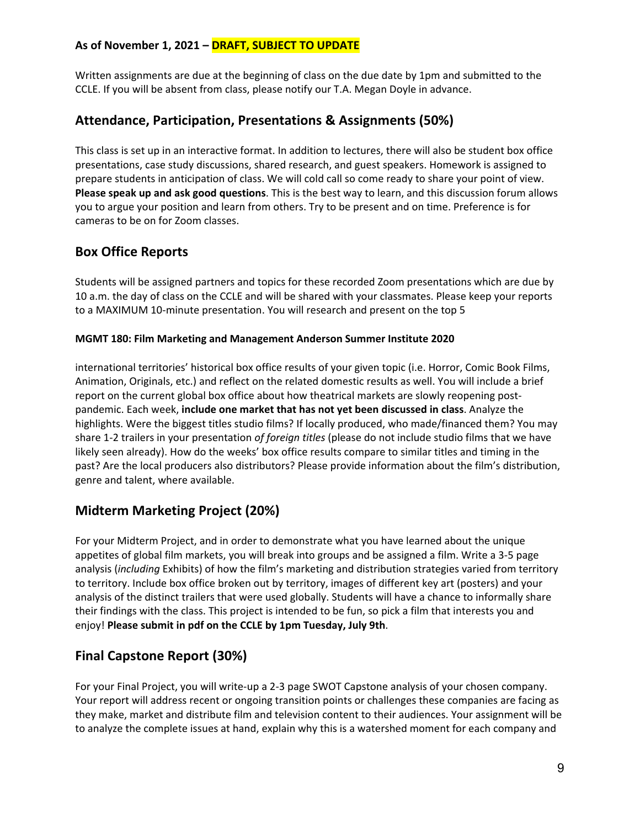Written assignments are due at the beginning of class on the due date by 1pm and submitted to the CCLE. If you will be absent from class, please notify our T.A. Megan Doyle in advance.

## **Attendance, Participation, Presentations & Assignments (50%)**

This class is set up in an interactive format. In addition to lectures, there will also be student box office presentations, case study discussions, shared research, and guest speakers. Homework is assigned to prepare students in anticipation of class. We will cold call so come ready to share your point of view. **Please speak up and ask good questions**. This is the best way to learn, and this discussion forum allows you to argue your position and learn from others. Try to be present and on time. Preference is for cameras to be on for Zoom classes.

## **Box Office Reports**

Students will be assigned partners and topics for these recorded Zoom presentations which are due by 10 a.m. the day of class on the CCLE and will be shared with your classmates. Please keep your reports to a MAXIMUM 10-minute presentation. You will research and present on the top 5

#### **MGMT 180: Film Marketing and Management Anderson Summer Institute 2020**

international territories' historical box office results of your given topic (i.e. Horror, Comic Book Films, Animation, Originals, etc.) and reflect on the related domestic results as well. You will include a brief report on the current global box office about how theatrical markets are slowly reopening postpandemic. Each week, **include one market that has not yet been discussed in class**. Analyze the highlights. Were the biggest titles studio films? If locally produced, who made/financed them? You may share 1-2 trailers in your presentation *of foreign titles* (please do not include studio films that we have likely seen already). How do the weeks' box office results compare to similar titles and timing in the past? Are the local producers also distributors? Please provide information about the film's distribution, genre and talent, where available.

## **Midterm Marketing Project (20%)**

For your Midterm Project, and in order to demonstrate what you have learned about the unique appetites of global film markets, you will break into groups and be assigned a film. Write a 3-5 page analysis (*including* Exhibits) of how the film's marketing and distribution strategies varied from territory to territory. Include box office broken out by territory, images of different key art (posters) and your analysis of the distinct trailers that were used globally. Students will have a chance to informally share their findings with the class. This project is intended to be fun, so pick a film that interests you and enjoy! **Please submit in pdf on the CCLE by 1pm Tuesday, July 9th**.

## **Final Capstone Report (30%)**

For your Final Project, you will write-up a 2-3 page SWOT Capstone analysis of your chosen company. Your report will address recent or ongoing transition points or challenges these companies are facing as they make, market and distribute film and television content to their audiences. Your assignment will be to analyze the complete issues at hand, explain why this is a watershed moment for each company and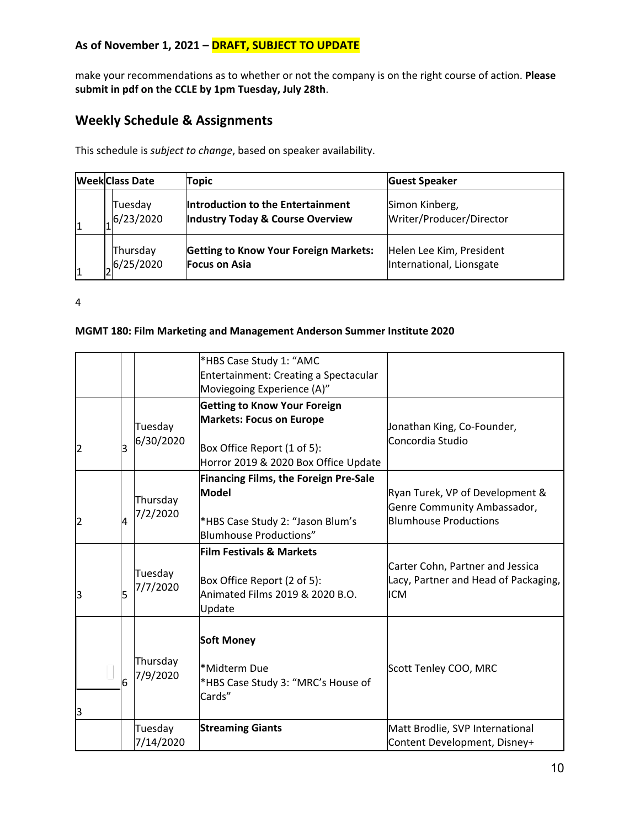make your recommendations as to whether or not the company is on the right course of action. **Please submit in pdf on the CCLE by 1pm Tuesday, July 28th**.

## **Weekly Schedule & Assignments**

This schedule is *subject to change*, based on speaker availability.

|   | <b>Week Class Date</b> | Topic                                        | <b>Guest Speaker</b>     |
|---|------------------------|----------------------------------------------|--------------------------|
|   | Tuesday                | Introduction to the Entertainment            | Simon Kinberg,           |
|   | 6/23/2020              | Industry Today & Course Overview             | Writer/Producer/Director |
| 1 | Thursday               | <b>Getting to Know Your Foreign Markets:</b> | Helen Lee Kim, President |
|   | 6/25/2020              | <b>Focus on Asia</b>                         | International, Lionsgate |

4

#### **MGMT 180: Film Marketing and Management Anderson Summer Institute 2020**

|                |   |                      | *HBS Case Study 1: "AMC<br>Entertainment: Creating a Spectacular<br>Moviegoing Experience (A)"                                                |                                                                                                |
|----------------|---|----------------------|-----------------------------------------------------------------------------------------------------------------------------------------------|------------------------------------------------------------------------------------------------|
| 2              | 3 | Tuesday<br>6/30/2020 | <b>Getting to Know Your Foreign</b><br><b>Markets: Focus on Europe</b><br>Box Office Report (1 of 5):<br>Horror 2019 & 2020 Box Office Update | Jonathan King, Co-Founder,<br>Concordia Studio                                                 |
| $\overline{2}$ | 4 | Thursday<br>7/2/2020 | <b>Financing Films, the Foreign Pre-Sale</b><br><b>Model</b><br>*HBS Case Study 2: "Jason Blum's<br>Blumhouse Productions"                    | Ryan Turek, VP of Development &<br>Genre Community Ambassador,<br><b>Blumhouse Productions</b> |
| 3              | 5 | Tuesday<br>7/7/2020  | <b>Film Festivals &amp; Markets</b><br>Box Office Report (2 of 5):<br>Animated Films 2019 & 2020 B.O.<br>Update                               | Carter Cohn, Partner and Jessica<br>Lacy, Partner and Head of Packaging,<br><b>ICM</b>         |
| З              | 6 | Thursday<br>7/9/2020 | <b>Soft Money</b><br>*Midterm Due<br>*HBS Case Study 3: "MRC's House of<br>Cards"                                                             | Scott Tenley COO, MRC                                                                          |
|                |   | Tuesday<br>7/14/2020 | <b>Streaming Giants</b>                                                                                                                       | Matt Brodlie, SVP International<br>Content Development, Disney+                                |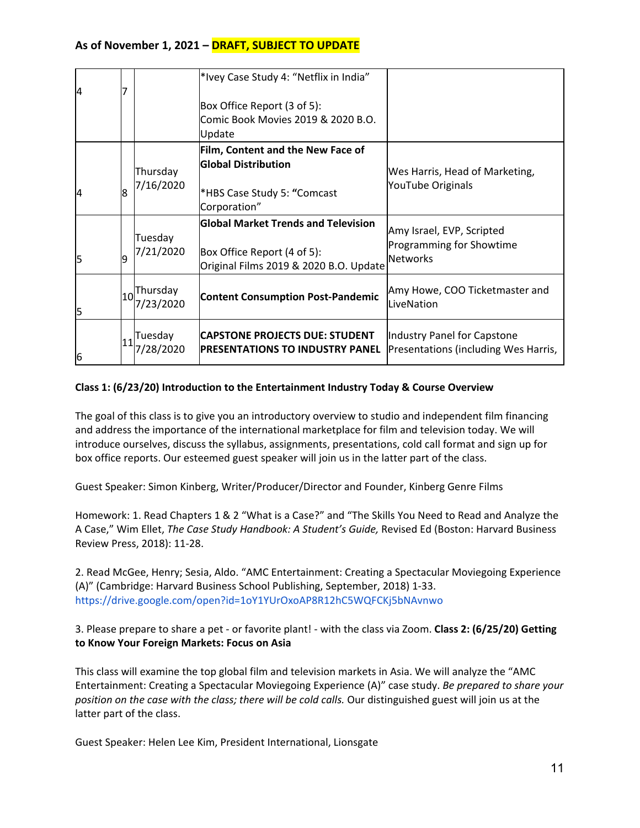| 14 |   |                                                                            | *Ivey Case Study 4: "Netflix in India"                                                                              |                                                                          |
|----|---|----------------------------------------------------------------------------|---------------------------------------------------------------------------------------------------------------------|--------------------------------------------------------------------------|
|    |   |                                                                            | Box Office Report (3 of 5):                                                                                         |                                                                          |
|    |   |                                                                            | Comic Book Movies 2019 & 2020 B.O.<br>Update                                                                        |                                                                          |
| 4  | 8 | Thursday<br>7/16/2020                                                      | Film, Content and the New Face of<br><b>Global Distribution</b><br>*HBS Case Study 5: "Comcast<br>Corporation"      | Wes Harris, Head of Marketing,<br>YouTube Originals                      |
| 5  | 9 | Tuesday<br>7/21/2020                                                       | <b>Global Market Trends and Television</b><br>Box Office Report (4 of 5):<br>Original Films 2019 & 2020 B.O. Update | Amy Israel, EVP, Scripted<br>Programming for Showtime<br><b>Networks</b> |
| 5  |   | $\left  \begin{matrix} 10 \\ 0 \end{matrix} \right $ Thursday<br>7/23/2020 | <b>Content Consumption Post-Pandemic</b>                                                                            | Amy Howe, COO Ticketmaster and<br>LiveNation                             |
| 6  |   | Tuesday<br>7/28/2020                                                       | <b>CAPSTONE PROJECTS DUE: STUDENT</b><br><b>IPRESENTATIONS TO INDUSTRY PANEL</b>                                    | Industry Panel for Capstone<br>Presentations (including Wes Harris,      |

#### **Class 1: (6/23/20) Introduction to the Entertainment Industry Today & Course Overview**

The goal of this class is to give you an introductory overview to studio and independent film financing and address the importance of the international marketplace for film and television today. We will introduce ourselves, discuss the syllabus, assignments, presentations, cold call format and sign up for box office reports. Our esteemed guest speaker will join us in the latter part of the class.

Guest Speaker: Simon Kinberg, Writer/Producer/Director and Founder, Kinberg Genre Films

Homework: 1. Read Chapters 1 & 2 "What is a Case?" and "The Skills You Need to Read and Analyze the A Case," Wim Ellet, *The Case Study Handbook: A Student's Guide,* Revised Ed (Boston: Harvard Business Review Press, 2018): 11-28.

2. Read McGee, Henry; Sesia, Aldo. "AMC Entertainment: Creating a Spectacular Moviegoing Experience (A)" (Cambridge: Harvard Business School Publishing, September, 2018) 1-33. https://drive.google.com/open?id=1oY1YUrOxoAP8R12hC5WQFCKj5bNAvnwo

3. Please prepare to share a pet - or favorite plant! - with the class via Zoom. **Class 2: (6/25/20) Getting to Know Your Foreign Markets: Focus on Asia** 

This class will examine the top global film and television markets in Asia. We will analyze the "AMC Entertainment: Creating a Spectacular Moviegoing Experience (A)" case study. *Be prepared to share your position on the case with the class; there will be cold calls.* Our distinguished guest will join us at the latter part of the class.

Guest Speaker: Helen Lee Kim, President International, Lionsgate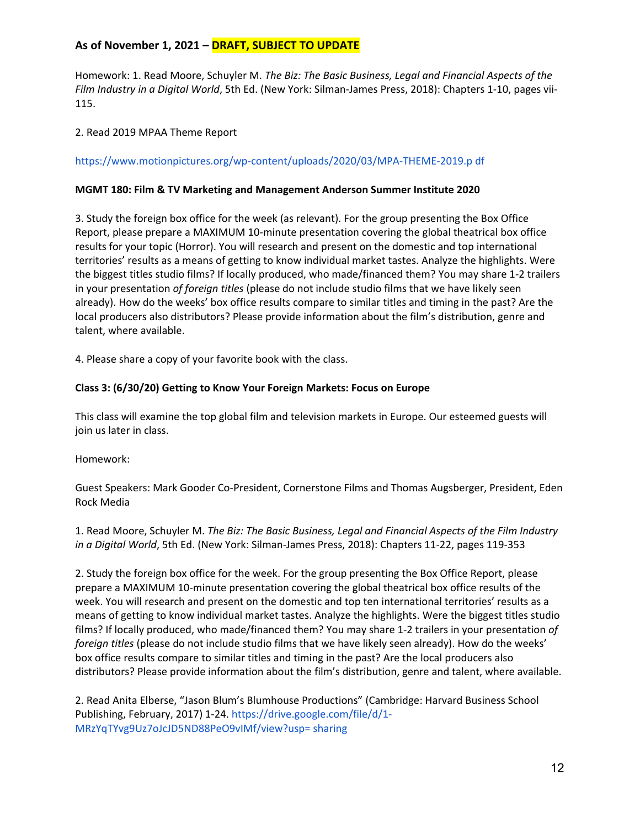Homework: 1. Read Moore, Schuyler M. *The Biz: The Basic Business, Legal and Financial Aspects of the Film Industry in a Digital World*, 5th Ed. (New York: Silman-James Press, 2018): Chapters 1-10, pages vii-115.

2. Read 2019 MPAA Theme Report

#### https://www.motionpictures.org/wp-content/uploads/2020/03/MPA-THEME-2019.p df

#### **MGMT 180: Film & TV Marketing and Management Anderson Summer Institute 2020**

3. Study the foreign box office for the week (as relevant). For the group presenting the Box Office Report, please prepare a MAXIMUM 10-minute presentation covering the global theatrical box office results for your topic (Horror). You will research and present on the domestic and top international territories' results as a means of getting to know individual market tastes. Analyze the highlights. Were the biggest titles studio films? If locally produced, who made/financed them? You may share 1-2 trailers in your presentation *of foreign titles* (please do not include studio films that we have likely seen already). How do the weeks' box office results compare to similar titles and timing in the past? Are the local producers also distributors? Please provide information about the film's distribution, genre and talent, where available.

4. Please share a copy of your favorite book with the class.

#### **Class 3: (6/30/20) Getting to Know Your Foreign Markets: Focus on Europe**

This class will examine the top global film and television markets in Europe. Our esteemed guests will join us later in class.

Homework:

Guest Speakers: Mark Gooder Co-President, Cornerstone Films and Thomas Augsberger, President, Eden Rock Media

1. Read Moore, Schuyler M. *The Biz: The Basic Business, Legal and Financial Aspects of the Film Industry in a Digital World*, 5th Ed. (New York: Silman-James Press, 2018): Chapters 11-22, pages 119-353

2. Study the foreign box office for the week. For the group presenting the Box Office Report, please prepare a MAXIMUM 10-minute presentation covering the global theatrical box office results of the week. You will research and present on the domestic and top ten international territories' results as a means of getting to know individual market tastes. Analyze the highlights. Were the biggest titles studio films? If locally produced, who made/financed them? You may share 1-2 trailers in your presentation *of foreign titles* (please do not include studio films that we have likely seen already). How do the weeks' box office results compare to similar titles and timing in the past? Are the local producers also distributors? Please provide information about the film's distribution, genre and talent, where available.

2. Read Anita Elberse, "Jason Blum's Blumhouse Productions" (Cambridge: Harvard Business School Publishing, February, 2017) 1-24. https://drive.google.com/file/d/1- MRzYqTYvg9Uz7oJcJD5ND88PeO9vIMf/view?usp= sharing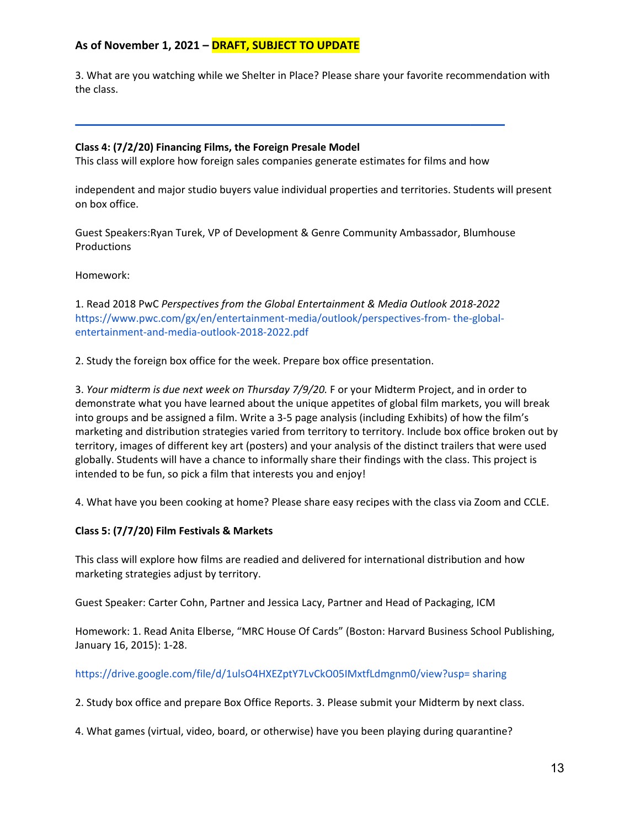3. What are you watching while we Shelter in Place? Please share your favorite recommendation with the class.

#### **Class 4: (7/2/20) Financing Films, the Foreign Presale Model**

This class will explore how foreign sales companies generate estimates for films and how

independent and major studio buyers value individual properties and territories. Students will present on box office.

Guest Speakers:Ryan Turek, VP of Development & Genre Community Ambassador, Blumhouse Productions

Homework:

1. Read 2018 PwC *Perspectives from the Global Entertainment & Media Outlook 2018-2022*  https://www.pwc.com/gx/en/entertainment-media/outlook/perspectives-from- the-globalentertainment-and-media-outlook-2018-2022.pdf

2. Study the foreign box office for the week. Prepare box office presentation.

3. *Your midterm is due next week on Thursday 7/9/20.* F or your Midterm Project, and in order to demonstrate what you have learned about the unique appetites of global film markets, you will break into groups and be assigned a film. Write a 3-5 page analysis (including Exhibits) of how the film's marketing and distribution strategies varied from territory to territory. Include box office broken out by territory, images of different key art (posters) and your analysis of the distinct trailers that were used globally. Students will have a chance to informally share their findings with the class. This project is intended to be fun, so pick a film that interests you and enjoy!

4. What have you been cooking at home? Please share easy recipes with the class via Zoom and CCLE.

#### **Class 5: (7/7/20) Film Festivals & Markets**

This class will explore how films are readied and delivered for international distribution and how marketing strategies adjust by territory.

Guest Speaker: Carter Cohn, Partner and Jessica Lacy, Partner and Head of Packaging, ICM

Homework: 1. Read Anita Elberse, "MRC House Of Cards" (Boston: Harvard Business School Publishing, January 16, 2015): 1-28.

#### https://drive.google.com/file/d/1ulsO4HXEZptY7LvCkO05IMxtfLdmgnm0/view?usp= sharing

2. Study box office and prepare Box Office Reports. 3. Please submit your Midterm by next class.

4. What games (virtual, video, board, or otherwise) have you been playing during quarantine?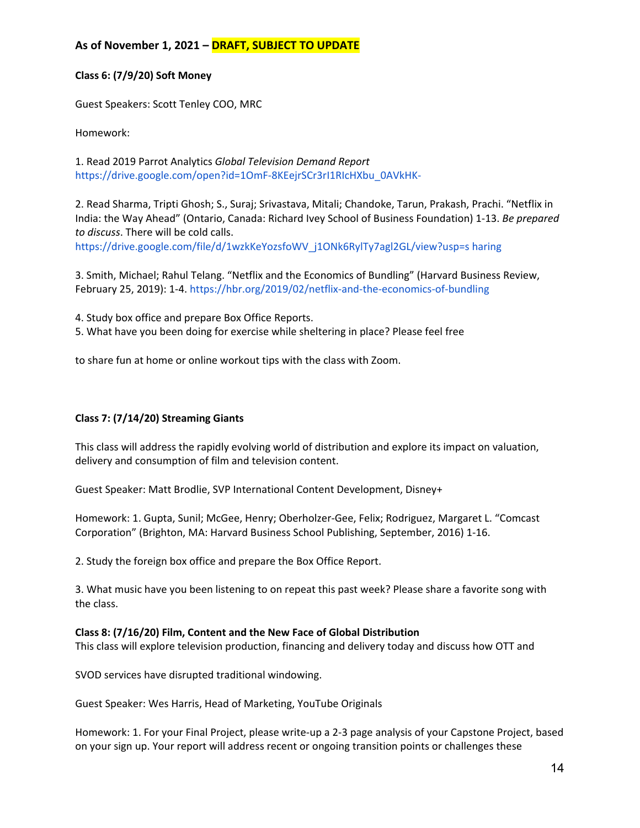#### **Class 6: (7/9/20) Soft Money**

Guest Speakers: Scott Tenley COO, MRC

Homework:

1. Read 2019 Parrot Analytics *Global Television Demand Report*  https://drive.google.com/open?id=1OmF-8KEejrSCr3rI1RIcHXbu\_0AVkHK-

2. Read Sharma, Tripti Ghosh; S., Suraj; Srivastava, Mitali; Chandoke, Tarun, Prakash, Prachi. "Netflix in India: the Way Ahead" (Ontario, Canada: Richard Ivey School of Business Foundation) 1-13. *Be prepared to discuss*. There will be cold calls.

https://drive.google.com/file/d/1wzkKeYozsfoWV\_j1ONk6RylTy7agl2GL/view?usp=s haring

3. Smith, Michael; Rahul Telang. "Netflix and the Economics of Bundling" (Harvard Business Review, February 25, 2019): 1-4. https://hbr.org/2019/02/netflix-and-the-economics-of-bundling

4. Study box office and prepare Box Office Reports.

5. What have you been doing for exercise while sheltering in place? Please feel free

to share fun at home or online workout tips with the class with Zoom.

#### **Class 7: (7/14/20) Streaming Giants**

This class will address the rapidly evolving world of distribution and explore its impact on valuation, delivery and consumption of film and television content.

Guest Speaker: Matt Brodlie, SVP International Content Development, Disney+

Homework: 1. Gupta, Sunil; McGee, Henry; Oberholzer-Gee, Felix; Rodriguez, Margaret L. "Comcast Corporation" (Brighton, MA: Harvard Business School Publishing, September, 2016) 1-16.

2. Study the foreign box office and prepare the Box Office Report.

3. What music have you been listening to on repeat this past week? Please share a favorite song with the class.

#### **Class 8: (7/16/20) Film, Content and the New Face of Global Distribution**

This class will explore television production, financing and delivery today and discuss how OTT and

SVOD services have disrupted traditional windowing.

Guest Speaker: Wes Harris, Head of Marketing, YouTube Originals

Homework: 1. For your Final Project, please write-up a 2-3 page analysis of your Capstone Project, based on your sign up. Your report will address recent or ongoing transition points or challenges these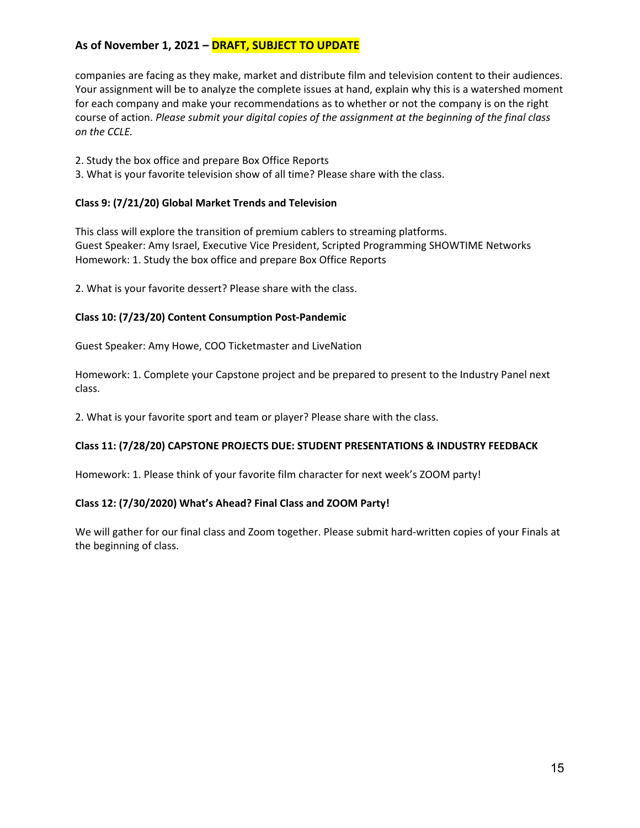companies are facing as they make, market and distribute film and television content to their audiences. Your assignment will be to analyze the complete issues at hand, explain why this is a watershed moment for each company and make your recommendations as to whether or not the company is on the right course of action. *Please submit your digital copies of the assignment at the beginning of the final class on the CCLE.* 

- 2. Study the box office and prepare Box Office Reports
- 3. What is your favorite television show of all time? Please share with the class.

#### **Class 9: (7/21/20) Global Market Trends and Television**

This class will explore the transition of premium cablers to streaming platforms. Guest Speaker: Amy Israel, Executive Vice President, Scripted Programming SHOWTIME Networks Homework: 1. Study the box office and prepare Box Office Reports

2. What is your favorite dessert? Please share with the class.

#### **Class 10: (7/23/20) Content Consumption Post-Pandemic**

Guest Speaker: Amy Howe, COO Ticketmaster and LiveNation

Homework: 1. Complete your Capstone project and be prepared to present to the Industry Panel next class.

2. What is your favorite sport and team or player? Please share with the class.

#### **Class 11: (7/28/20) CAPSTONE PROJECTS DUE: STUDENT PRESENTATIONS & INDUSTRY FEEDBACK**

Homework: 1. Please think of your favorite film character for next week's ZOOM party!

#### **Class 12: (7/30/2020) What's Ahead? Final Class and ZOOM Party!**

We will gather for our final class and Zoom together. Please submit hard-written copies of your Finals at the beginning of class.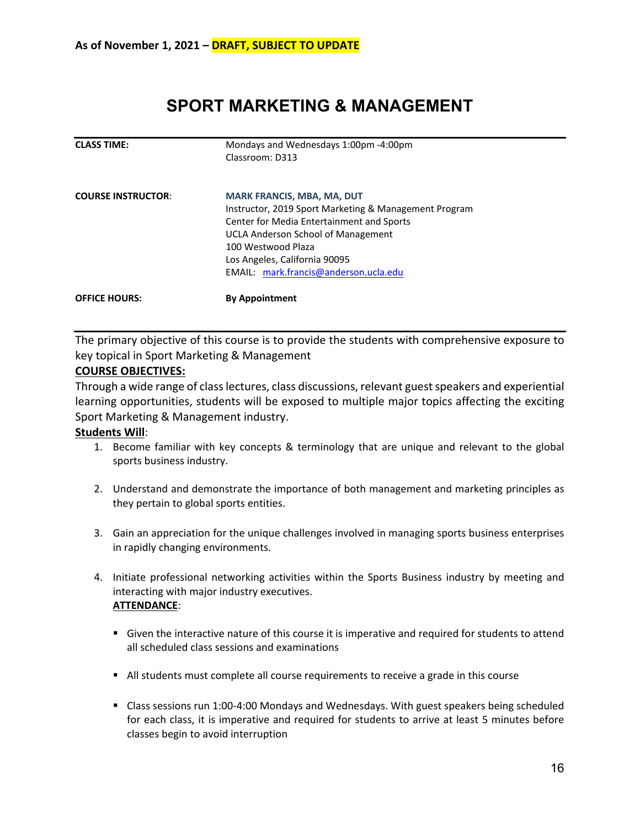# **SPORT MARKETING & MANAGEMENT**

<span id="page-15-0"></span>

| <b>CLASS TIME:</b>        | Mondays and Wednesdays 1:00pm -4:00pm                 |  |
|---------------------------|-------------------------------------------------------|--|
|                           | Classroom: D313                                       |  |
| <b>COURSE INSTRUCTOR:</b> | <b>MARK FRANCIS, MBA, MA, DUT</b>                     |  |
|                           | Instructor, 2019 Sport Marketing & Management Program |  |
|                           | Center for Media Entertainment and Sports             |  |
|                           | <b>UCLA Anderson School of Management</b>             |  |
|                           | 100 Westwood Plaza                                    |  |
|                           | Los Angeles, California 90095                         |  |
|                           | EMAIL: mark.francis@anderson.ucla.edu                 |  |
| <b>OFFICE HOURS:</b>      | <b>By Appointment</b>                                 |  |

The primary objective of this course is to provide the students with comprehensive exposure to key topical in Sport Marketing & Management

#### **COURSE OBJECTIVES:**

Through a wide range of class lectures, class discussions, relevant guest speakers and experiential learning opportunities, students will be exposed to multiple major topics affecting the exciting Sport Marketing & Management industry.

#### **Students Will**:

- 1. Become familiar with key concepts & terminology that are unique and relevant to the global sports business industry.
- 2. Understand and demonstrate the importance of both management and marketing principles as they pertain to global sports entities.
- 3. Gain an appreciation for the unique challenges involved in managing sports business enterprises in rapidly changing environments.
- 4. Initiate professional networking activities within the Sports Business industry by meeting and interacting with major industry executives. **ATTENDANCE**:
	- Given the interactive nature of this course it is imperative and required for students to attend all scheduled class sessions and examinations
	- All students must complete all course requirements to receive a grade in this course
	- Class sessions run 1:00-4:00 Mondays and Wednesdays. With guest speakers being scheduled for each class, it is imperative and required for students to arrive at least 5 minutes before classes begin to avoid interruption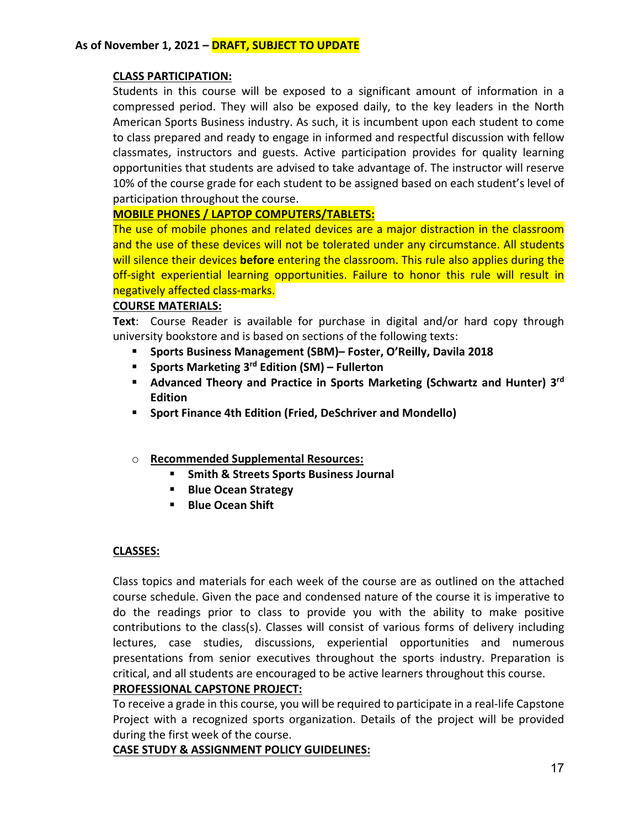#### **CLASS PARTICIPATION:**

Students in this course will be exposed to a significant amount of information in a compressed period. They will also be exposed daily, to the key leaders in the North American Sports Business industry. As such, it is incumbent upon each student to come to class prepared and ready to engage in informed and respectful discussion with fellow classmates, instructors and guests. Active participation provides for quality learning opportunities that students are advised to take advantage of. The instructor will reserve 10% of the course grade for each student to be assigned based on each student's level of participation throughout the course.

#### **MOBILE PHONES / LAPTOP COMPUTERS/TABLETS:**

The use of mobile phones and related devices are a major distraction in the classroom and the use of these devices will not be tolerated under any circumstance. All students will silence their devices **before** entering the classroom. This rule also applies during the off-sight experiential learning opportunities. Failure to honor this rule will result in negatively affected class-marks.

#### **COURSE MATERIALS:**

**Text**: Course Reader is available for purchase in digital and/or hard copy through university bookstore and is based on sections of the following texts:

- **Sports Business Management (SBM)– Foster, O'Reilly, Davila 2018**
- **Sports Marketing 3rd Edition (SM) – Fullerton**
- **Advanced Theory and Practice in Sports Marketing (Schwartz and Hunter) 3rd Edition**
- **Sport Finance 4th Edition (Fried, DeSchriver and Mondello)**
- o **Recommended Supplemental Resources:**
	- **F** Smith & Streets Sports Business Journal
	- **Blue Ocean Strategy**
	- **Blue Ocean Shift**

#### **CLASSES:**

Class topics and materials for each week of the course are as outlined on the attached course schedule. Given the pace and condensed nature of the course it is imperative to do the readings prior to class to provide you with the ability to make positive contributions to the class(s). Classes will consist of various forms of delivery including lectures, case studies, discussions, experiential opportunities and numerous presentations from senior executives throughout the sports industry. Preparation is critical, and all students are encouraged to be active learners throughout this course.

#### **PROFESSIONAL CAPSTONE PROJECT:**

To receive a grade in this course, you will be required to participate in a real-life Capstone Project with a recognized sports organization. Details of the project will be provided during the first week of the course.

#### **CASE STUDY & ASSIGNMENT POLICY GUIDELINES:**